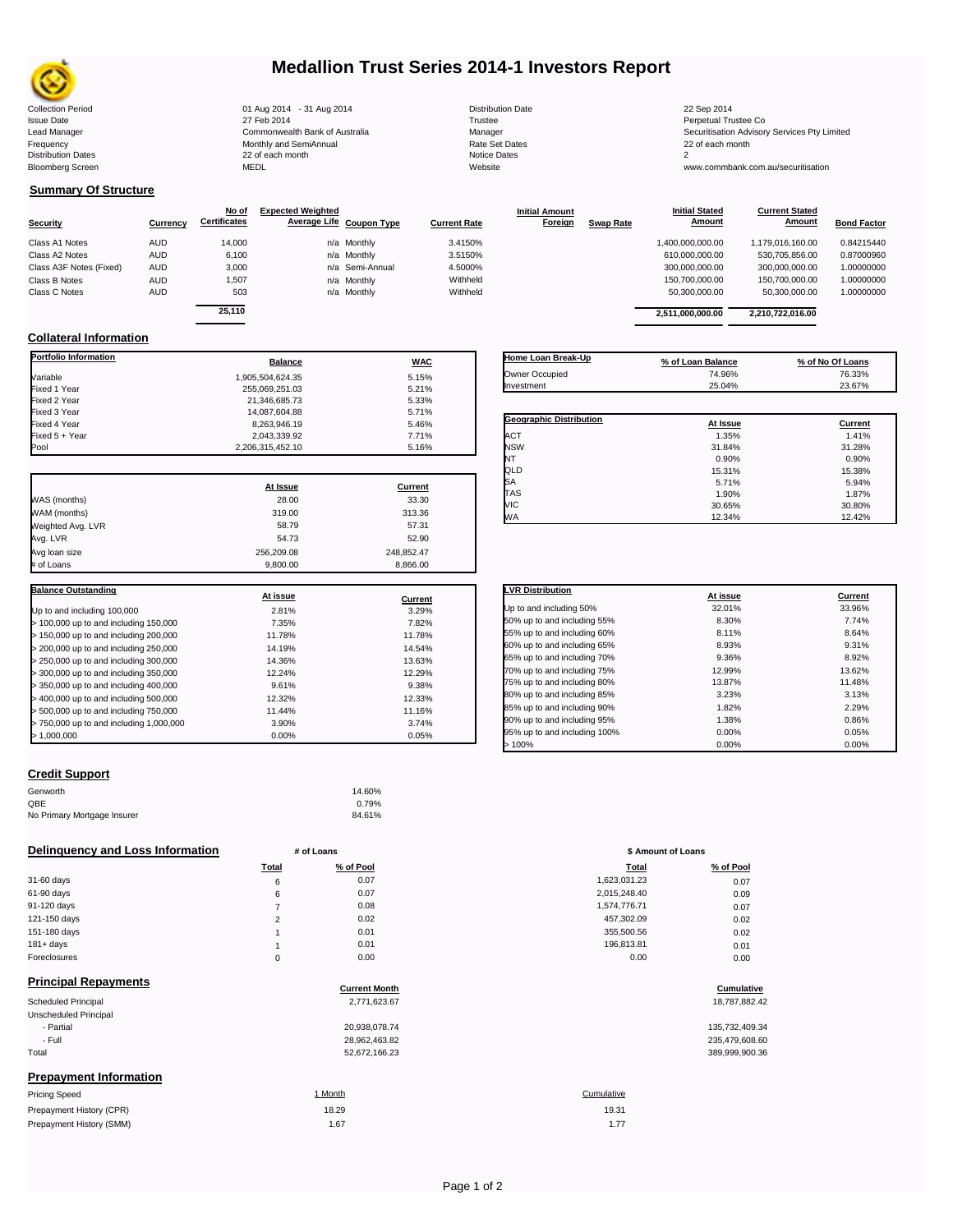

### **Medallion Trust Series 2014-1 Investors Report**

| <b>Collection Period</b>  | 01 Aug 2014 - 31 Aug 2014      | <b>Distribution Date</b> | 22 Sep 2014                             |
|---------------------------|--------------------------------|--------------------------|-----------------------------------------|
| <b>Issue Date</b>         | 27 Feb 2014                    | Trustee                  | Perpetual Trustee Co                    |
| Lead Manager              | Commonwealth Bank of Australia | Manager                  | Securitisation Advisory Services Pty Li |
| Frequency                 | Monthly and SemiAnnual         | <b>Rate Set Dates</b>    | 22 of each month                        |
| <b>Distribution Dates</b> | 22 of each month               | Notice Dates             |                                         |
| <b>Bloomberg Screen</b>   | MEDL                           | Website                  | www.commbank.com.au/securitisation      |
|                           |                                |                          |                                         |

**Current Stated** 

### **Summary Of Structure**

|                         |            | No of               | <b>Expected Weighted</b> |                 |                     | <b>Initial Amount</b> |                  | <b>Initial Stated</b> | <b>Current Stated</b> |                    |
|-------------------------|------------|---------------------|--------------------------|-----------------|---------------------|-----------------------|------------------|-----------------------|-----------------------|--------------------|
| <b>Security</b>         | Currency   | <b>Certificates</b> | Average Life Coupon Type |                 | <b>Current Rate</b> | Foreign               | <b>Swap Rate</b> | Amount                | <b>Amount</b>         | <b>Bond Factor</b> |
| Class A1 Notes          | <b>AUD</b> | 14,000              |                          | n/a Monthly     | 3.4150%             |                       |                  | 1,400,000,000.00      | 1,179,016,160.00      | 0.84215440         |
| Class A2 Notes          | <b>AUD</b> | 6,100               |                          | n/a Monthly     | 3.5150%             |                       |                  | 610.000.000.00        | 530.705.856.00        | 0.87000960         |
| Class A3F Notes (Fixed) | <b>AUD</b> | 3,000               |                          | n/a Semi-Annual | 4.5000%             |                       |                  | 300,000,000.00        | 300,000,000.00        | 1.00000000         |
| Class B Notes           | <b>AUD</b> | 1,507               |                          | n/a Monthly     | Withheld            |                       |                  | 150,700,000.00        | 150.700.000.00        | 1.00000000         |
| Class C Notes           | <b>AUD</b> | 503                 |                          | n/a Monthly     | Withheld            |                       |                  | 50.300.000.00         | 50.300.000.00         | 1.00000000         |
|                         |            | 0.5440              |                          |                 |                     |                       |                  |                       |                       |                    |

| ncates | <b>Average Life Coupon Type</b> | <b>Current Rate</b> | <u>Foreign</u> | Swap Rate | Alliount         | <b>AIIIOUIII</b> | <b>Bond Factor</b> |
|--------|---------------------------------|---------------------|----------------|-----------|------------------|------------------|--------------------|
| 14.000 | n/a Monthly                     | 3.4150%             |                |           | 1.400.000.000.00 | 1,179,016,160.00 | 0.84215440         |
| 6.100  | n/a Monthly                     | 3.5150%             |                |           | 610.000.000.00   | 530.705.856.00   | 0.87000960         |
| 3.000  | n/a Semi-Annual                 | 4.5000%             |                |           | 300.000.000.00   | 300.000.000.00   | 1.00000000         |
| 1,507  | n/a Monthly                     | Withheld            |                |           | 150.700.000.00   | 150.700.000.00   | 1.00000000         |
| 503    | n/a Monthly                     | Withheld            |                |           | 50.300.000.00    | 50.300.000.00    | 1.00000000         |
| 25.110 |                                 |                     |                |           | 2,511,000,000.00 | 2.210.722.016.00 |                    |
|        |                                 |                     |                |           |                  |                  |                    |

**Initial Stated** 

### **Collateral Information**

| Portfolio Information                   | <b>Balance</b>   | <b>WAC</b>       |
|-----------------------------------------|------------------|------------------|
| Variable                                | 1.905.504.624.35 | 5.15%            |
| Fixed 1 Year                            | 255,069,251.03   | 5.21%            |
| Fixed 2 Year                            | 21,346,685.73    | 5.33%            |
| Fixed 3 Year                            | 14,087,604.88    | 5.71%            |
| Fixed 4 Year                            | 8,263,946.19     | 5.46%            |
| Fixed 5 + Year                          | 2,043,339.92     | 7.71%            |
| Pool                                    | 2,206,315,452.10 | 5.16%            |
|                                         | At Issue         | Current          |
|                                         | 28.00            | 33.30            |
| WAS (months)                            |                  |                  |
| WAM (months)                            | 319.00           | 313.36           |
| Weighted Avg. LVR                       | 58.79            | 57.31            |
| Avg. LVR                                | 54.73            | 52.90            |
| Avg loan size                           | 256,209.08       | 248,852.47       |
| # of Loans                              | 9.800.00         | 8,866.00         |
| <b>Balance Outstanding</b>              | At issue         |                  |
| Up to and including 100,000             | 2.81%            | Current<br>3.29% |
| > 100,000 up to and including 150,000   | 7.35%            | 7.82%            |
| > 150,000 up to and including 200,000   | 11.78%           | 11.78%           |
| > 200,000 up to and including 250,000   | 14.19%           | 14.54%           |
| > 250,000 up to and including 300,000   | 14.36%           | 13.63%           |
| > 300,000 up to and including 350,000   | 12.24%           | 12.29%           |
| > 350,000 up to and including 400,000   | 9.61%            | 9.38%            |
|                                         | 12.32%           | 12.33%           |
| > 400,000 up to and including 500,000   |                  |                  |
| > 500,000 up to and including 750,000   | 11.44%           | 11.16%           |
| > 750,000 up to and including 1,000,000 | 3.90%            | 3.74%            |
| >1,000,000                              | 0.00%            | 0.05%            |

| Home Loan Break-Up      | % of Loan Balance | % of No Of Loans |
|-------------------------|-------------------|------------------|
| Owner Occupied          | 74.96%            | 76.33%           |
| Investment              | 25.04%            | 23.67%           |
|                         |                   |                  |
| Geographic Distribution | At Issue          | Current          |
| <b>ACT</b>              | 1.35%             | 1.41%            |
| <b>NSW</b>              | 31.84%            | 31.28%           |
| NТ                      | 0.90%             | 0.90%            |
| QLD                     | 15.31%            | 15.38%           |
| SA                      | 5.71%             | 5.94%            |
| <b>TAS</b>              | 1.90%             | 1.87%            |
| VIC                     | 30.65%            | 30.80%           |
| <b>WA</b>               | 12.34%            | 12.42%           |

| <b>LVR Distribution</b>      | At issue | Current |
|------------------------------|----------|---------|
| Up to and including 50%      | 32.01%   | 33.96%  |
| 50% up to and including 55%  | 8.30%    | 7.74%   |
| 55% up to and including 60%  | 8.11%    | 8.64%   |
| 60% up to and including 65%  | 8.93%    | 9.31%   |
| 65% up to and including 70%  | 9.36%    | 8.92%   |
| 70% up to and including 75%  | 12.99%   | 13.62%  |
| 75% up to and including 80%  | 13.87%   | 11.48%  |
| 80% up to and including 85%  | 3.23%    | 3.13%   |
| 85% up to and including 90%  | 1.82%    | 2.29%   |
| 90% up to and including 95%  | 1.38%    | 0.86%   |
| 95% up to and including 100% | 0.00%    | 0.05%   |
| >100%                        | 0.00%    | 0.00%   |

### **Credit Support**

Prepayment History (SMM)

| Genworth                    | 14.60% |
|-----------------------------|--------|
| OBE                         | 0.79%  |
| No Primary Mortgage Insurer | 84.61% |

### **Delinquency and Loss Information # of Loans # of Loans \$ Amount of Loans**

|              | Total    | % of Pool | <b>Total</b> | % of Pool |
|--------------|----------|-----------|--------------|-----------|
| 31-60 days   | 6        | 0.07      | 1,623,031.23 | 0.07      |
| 61-90 days   | 6        | 0.07      | 2,015,248.40 | 0.09      |
| 91-120 days  |          | 0.08      | 1.574.776.71 | 0.07      |
| 121-150 days | $\sim$   | 0.02      | 457,302.09   | 0.02      |
| 151-180 days |          | 0.01      | 355,500.56   | 0.02      |
| $181 + days$ |          | 0.01      | 196.813.81   | 0.01      |
| Foreclosures | $\Omega$ | 0.00      | 0.00         | 0.00      |
|              |          |           |              |           |

| <b>Principal Repayments</b>   |                      |                |
|-------------------------------|----------------------|----------------|
|                               | <b>Current Month</b> | Cumulative     |
| Scheduled Principal           | 2,771,623.67         | 18,787,882.42  |
| Unscheduled Principal         |                      |                |
| - Partial                     | 20,938,078.74        | 135,732,409.34 |
| - Full                        | 28,962,463.82        | 235,479,608.60 |
| Total                         | 52,672,166.23        | 389,999,900.36 |
| <b>Prepayment Information</b> |                      |                |
| <b>Pricing Speed</b>          | 1 Month              | Cumulative     |
| Prepayment History (CPR)      | 18.29                | 19.31          |

|                | $ \,  \,  \,  \,  \,$ |              |           |  |  |
|----------------|-----------------------|--------------|-----------|--|--|
| <b>Total</b>   | % of Pool             | Total        | % of Pool |  |  |
| 6              | 0.07                  | 1,623,031.23 | 0.07      |  |  |
| 6              | 0.07                  | 2,015,248.40 | 0.09      |  |  |
| 7              | 0.08                  | 1,574,776.71 | 0.07      |  |  |
| $\overline{2}$ | 0.02                  | 457,302.09   | 0.02      |  |  |
| 1              | 0.01                  | 355,500.56   | 0.02      |  |  |
| 1              | 0.01                  | 196,813.81   | 0.01      |  |  |
| 0              | 0.00                  | 0.00         | 0.00      |  |  |
|                |                       |              |           |  |  |

### **Cumulative Cumulative**

| 135.732.409.34 |
|----------------|
| 235,479,608.60 |
| 389,999,900.36 |

# 1.67 1.77